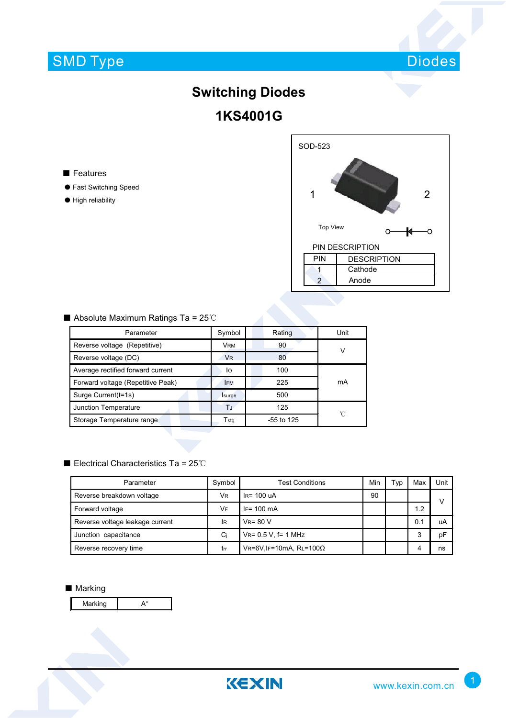# SMD Type



# **Switching Diodes 1KS4001G**

- Features
- ƽ Fast Switching Speed
- ƽ High reliability

| SOD-523         |                 |                    |  |  |  |  |  |
|-----------------|-----------------|--------------------|--|--|--|--|--|
| 1               |                 | $\overline{2}$     |  |  |  |  |  |
|                 | <b>Top View</b> |                    |  |  |  |  |  |
| PIN DESCRIPTION |                 |                    |  |  |  |  |  |
| PIN             |                 | <b>DESCRIPTION</b> |  |  |  |  |  |
|                 |                 | Cathode            |  |  |  |  |  |
| $\overline{2}$  |                 | Anode              |  |  |  |  |  |
|                 |                 |                    |  |  |  |  |  |

### $\blacksquare$  Absolute Maximum Ratings Ta = 25°C

| Parameter                         | Symbol                      | Rating       | Unit |  |
|-----------------------------------|-----------------------------|--------------|------|--|
| Reverse voltage (Repetitive)      | <b>VRM</b>                  | 90           |      |  |
| Reverse voltage (DC)              | <b>V<sub>R</sub></b>        | 80           |      |  |
| Average rectified forward current | lo                          | 100          |      |  |
| Forward voltage (Repetitive Peak) | <b>IFM</b>                  | 225          | mA   |  |
| Surge Current(t=1s)               | Isurge                      | 500          |      |  |
| Junction Temperature              | ТJ                          | 125          | 'n   |  |
| Storage Temperature range         | $\mathsf{T}_{\mathsf{stg}}$ | $-55$ to 125 |      |  |

### Electrical Characteristics Ta =  $25^{\circ}$ C

| Parameter                       | Symbol    | <b>Test Conditions</b>               |  | Гур | Max | Unit |
|---------------------------------|-----------|--------------------------------------|--|-----|-----|------|
| Reverse breakdown voltage       | <b>VR</b> | $IR = 100uA$                         |  |     |     | v    |
| Forward voltage                 | VF        | $IF = 100 \text{ mA}$                |  |     | 1.2 |      |
| Reverse voltage leakage current | lR.       | $V_R = 80 V$                         |  |     | 0.1 | uA   |
| Junction capacitance            | Ci        | $V_{R} = 0.5 V$ , f= 1 MHz           |  |     | 3   | рF   |
| Reverse recovery time           | trr       | $VR = 6V$ , IF=10mA, RL=100 $\Omega$ |  |     |     | ns   |

#### ■ Marking

Marking A\*

KEXIN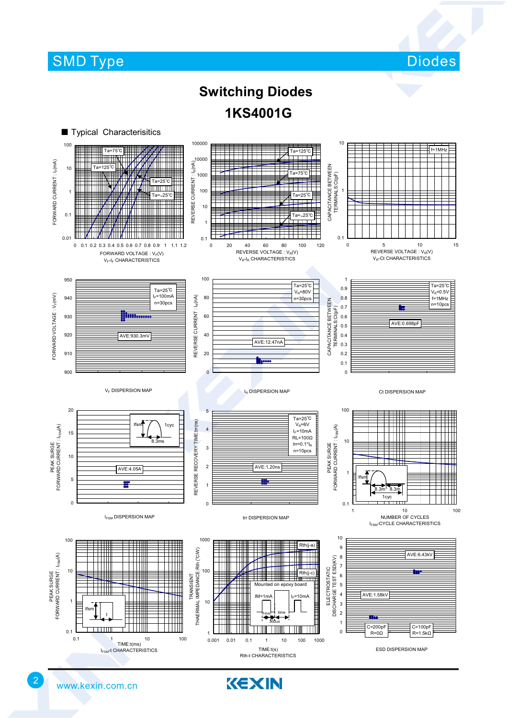## **SMD Type**

Diodes

## **Switching Diodes 1KS4001G**